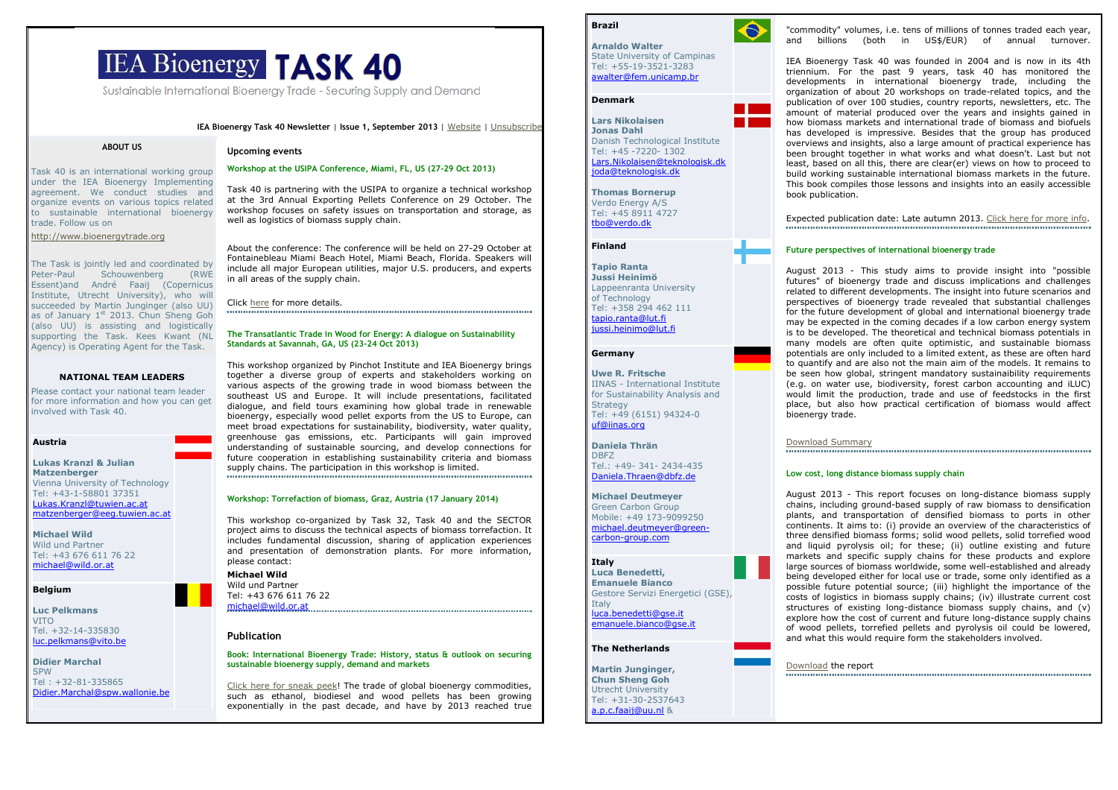# **IEA Bioenergy TASK 40**

Sustainable International Bioeneray Trade - Securing Supply and Demand

IEA Bioenergy Task 40 Newsletter | Issue 1, September 2013 | Website | Unsubscribe

#### ABOUT US

Task 40 is an international working group under the IEA Bioenergy Implementing agreement. We conduct studies and organize events on various topics related to sustainable international bioenergy trade. Follow us on

http://www.bioenergytrade.org

The Task is jointly led and coordinated by<br>Peter-Paul Schouwenberg (RWE (RWE  $S$ chouwenberg Essent)and André Faaij (Copernicus Institute, Utrecht University), who will succeeded by Martin Junginger (also UU) as of January 1<sup>st</sup> 2013. Chun Sheng Goh (also UU) is assisting and logistically supporting the Task. Kees Kwant (NL Agency) is Operating Agent for the Task.

# NATIONAL TEAM LEADERS

 Please contact your national team leader for more information and how you can get involved with Task 40.

# Austria

Lukas Kranzl & Julian **Matzenberger**  Vienna University of TechnologyTel: +43-1-58801 37351 Lukas.Kranzl@tuwien.ac.atmatzenberger@eeg.tuwien.ac.at

Michael Wild Wild und Partner Tel: +43 676 611 76 22 michael@wild.or.at

# Belgium

Luc PelkmansVITO Tel. +32-14-335830 luc.pelkmans@vito.be

Didier MarchalSPW

 Tel : +32-81-335865 Didier.Marchal@spw.wallonie.be

#### Upcoming events

# Workshop at the USIPA Conference, Miami, FL, US (27-29 Oct 2013)

Task 40 is partnering with the USIPA to organize a technical workshop at the 3rd Annual Exporting Pellets Conference on 29 October. The workshop focuses on safety issues on transportation and storage, as well as logistics of biomass supply chain.

About the conference: The conference will be held on 27-29 October at Fontainebleau Miami Beach Hotel, Miami Beach, Florida. Speakers will include all major European utilities, major U.S. producers, and experts in all areas of the supply chain.

Click here for more details.

#### The Transatlantic Trade in Wood for Energy: A dialogue on Sustainability Standards at Savannah, GA, US (23-24 Oct 2013)

This workshop organized by Pinchot Institute and IEA Bioenergy brings together a diverse group of experts and stakeholders working on various aspects of the growing trade in wood biomass between the southeast US and Europe. It will include presentations, facilitated dialogue, and field tours examining how global trade in renewable bioenergy, especially wood pellet exports from the US to Europe, can meet broad expectations for sustainability, biodiversity, water quality, greenhouse gas emissions, etc. Participants will gain improved understanding of sustainable sourcing, and develop connections for future cooperation in establishing sustainability criteria and biomass supply chains. The participation in this workshop is limited. 

### Workshop: Torrefaction of biomass, Graz, Austria (17 January 2014)

This workshop co-organized by Task 32, Task 40 and the SECTOR project aims to discuss the technical aspects of biomass torrefaction. It includes fundamental discussion, sharing of application experiences and presentation of demonstration plants. For more information, please contact:

# Michael Wild

 Wild und Partner Tel: +43 676 611 76 22 michael@wild.or.at

# Publication

#### Book: International Bioenergy Trade: History, status & outlook on securing sustainable bioenergy supply, demand and markets

Click here for sneak peek! The trade of global bioenergy commodities, such as ethanol, biodiesel and wood pellets has been growing exponentially in the past decade, and have by 2013 reached true

 $\bigodot$ 

Arnaldo Walter State University of Campinas Tel: +55-19-3521-3283 awalter@fem.unicamp.br

# Denmark

Brazil

Lars NikolaisenJonas Dahl Danish Technological Institute  $Tel: +45 -7220 - 1302$  Lars.Nikolaisen@teknologisk.dkjoda@teknologisk.dk

Thomas BornerupVerdo Energy A/S Tel: +45 8911 4727 tbo@verdo.dk

# Finland

Tapio Ranta Jussi Heinimö Lappeenranta University of Technology Tel: +358 294 462 111 tapio.ranta@lut.fijussi.heinimo@lut.fi

# Germany

Uwe R. Fritsche IINAS - International Institute for Sustainability Analysis and **Strategy**  Tel: +49 (6151) 94324-0 uf@iinas.org

Daniela ThränDBFZ Tel.: +49- 341- 2434-435 Daniela.Thraen@dbfz.de

# Michael Deutmeyer

 Green Carbon Group Mobile: +49 173-9099250 michael.deutmeyer@greencarbon-group.com

# Italy

 Luca Benedetti,Emanuele Bianco

 Gestore Servizi Energetici (GSE), **Italy** 

 luca.benedetti@gse.itemanuele.bianco@gse.it

# The Netherlands

Martin Junginger,Chun Sheng Goh Utrecht University Tel: +31-30-2537643 a.p.c.faaij@uu.nl &

"commodity" volumes, i.e. tens of millions of tonnes traded each year, and billions (both in US\$/EUR) of annual turnover.

IEA Bioenergy Task 40 was founded in 2004 and is now in its 4th triennium. For the past 9 years, task 40 has monitored the developments in international bioenergy trade, including the organization of about 20 workshops on trade-related topics, and the publication of over 100 studies, country reports, newsletters, etc. The amount of material produced over the years and insights gained in how biomass markets and international trade of biomass and biofuels has developed is impressive. Besides that the group has produced overviews and insights, also a large amount of practical experience has been brought together in what works and what doesn't. Last but not least, based on all this, there are clear(er) views on how to proceed to build working sustainable international biomass markets in the future. This book compiles those lessons and insights into an easily accessible book publication.

Expected publication date: Late autumn 2013. Click here for more info.

# Future perspectives of international bioenergy trade

August 2013 - This study aims to provide insight into "possible futures" of bioenergy trade and discuss implications and challenges related to different developments. The insight into future scenarios and perspectives of bioenergy trade revealed that substantial challenges for the future development of global and international bioenergy trade may be expected in the coming decades if a low carbon energy system is to be developed. The theoretical and technical biomass potentials in many models are often quite optimistic, and sustainable biomass potentials are only included to a limited extent, as these are often hard to quantify and are also not the main aim of the models. It remains to be seen how global, stringent mandatory sustainaibility requirements (e.g. on water use, biodiversity, forest carbon accounting and iLUC) would limit the production, trade and use of feedstocks in the first place, but also how practical certification of biomass would affect bioenergy trade.

Download Summary

#### Low cost, long distance biomass supply chain

August 2013 - This report focuses on long-distance biomass supply chains, including ground-based supply of raw biomass to densification plants, and transportation of densified biomass to ports in other continents. It aims to: (i) provide an overview of the characteristics of three densified biomass forms; solid wood pellets, solid torrefied wood and liquid pyrolysis oil; for these; (ii) outline existing and future markets and specific supply chains for these products and explore large sources of biomass worldwide, some well-established and already being developed either for local use or trade, some only identified as a possible future potential source; (iii) highlight the importance of the costs of logistics in biomass supply chains; (iv) illustrate current cost structures of existing long-distance biomass supply chains, and (v) explore how the cost of current and future long-distance supply chains of wood pellets, torrefied pellets and pyrolysis oil could be lowered, and what this would require form the stakeholders involved.

Download the report